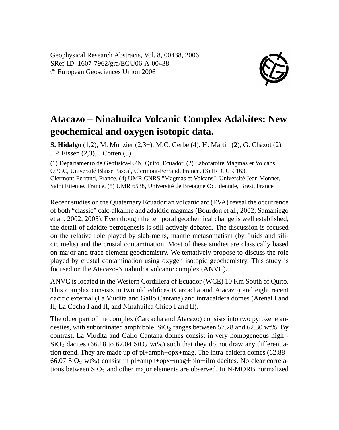Geophysical Research Abstracts, Vol. 8, 00438, 2006 SRef-ID: 1607-7962/gra/EGU06-A-00438 © European Geosciences Union 2006



## **Atacazo – Ninahuilca Volcanic Complex Adakites: New geochemical and oxygen isotopic data.**

**S. Hidalgo** (1,2), M. Monzier (2,3+), M.C. Gerbe (4), H. Martin (2), G. Chazot (2) J.P. Eissen (2,3), J Cotten (5)

(1) Departamento de Geofísica-EPN, Quito, Ecuador, (2) Laboratoire Magmas et Volcans, OPGC, Université Blaise Pascal, Clermont-Ferrand, France, (3) IRD, UR 163, Clermont-Ferrand, France, (4) UMR CNRS "Magmas et Volcans", Université Jean Monnet, Saint Etienne, France, (5) UMR 6538, Université de Bretagne Occidentale, Brest, France

Recent studies on the Quaternary Ecuadorian volcanic arc (EVA) reveal the occurrence of both "classic" calc-alkaline and adakitic magmas (Bourdon et al., 2002; Samaniego et al., 2002; 2005). Even though the temporal geochemical change is well established, the detail of adakite petrogenesis is still actively debated. The discussion is focused on the relative role played by slab-melts, mantle metasomatism (by fluids and silicic melts) and the crustal contamination. Most of these studies are classically based on major and trace element geochemistry. We tentatively propose to discuss the role played by crustal contamination using oxygen isotopic geochemistry. This study is focused on the Atacazo-Ninahuilca volcanic complex (ANVC).

ANVC is located in the Western Cordillera of Ecuador (WCE) 10 Km South of Quito. This complex consists in two old edifices (Carcacha and Atacazo) and eight recent dacitic external (La Viudita and Gallo Cantana) and intracaldera domes (Arenal I and II, La Cocha I and II, and Ninahuilca Chico I and II).

The older part of the complex (Carcacha and Atacazo) consists into two pyroxene andesites, with subordinated amphibole.  $SiO<sub>2</sub>$  ranges between 57.28 and 62.30 wt%. By contrast, La Viudita and Gallo Cantana domes consist in very homogeneous high -  $\text{SiO}_2$  dacites (66.18 to 67.04  $\text{SiO}_2$  wt%) such that they do not draw any differentiation trend. They are made up of pl+amph+opx+mag. The intra-caldera domes (62.88– 66.07 SiO<sub>2</sub> wt%) consist in pl+amph+opx+mag $\pm$ bio $\pm$ ilm dacites. No clear correlations between  $SiO<sub>2</sub>$  and other major elements are observed. In N-MORB normalized